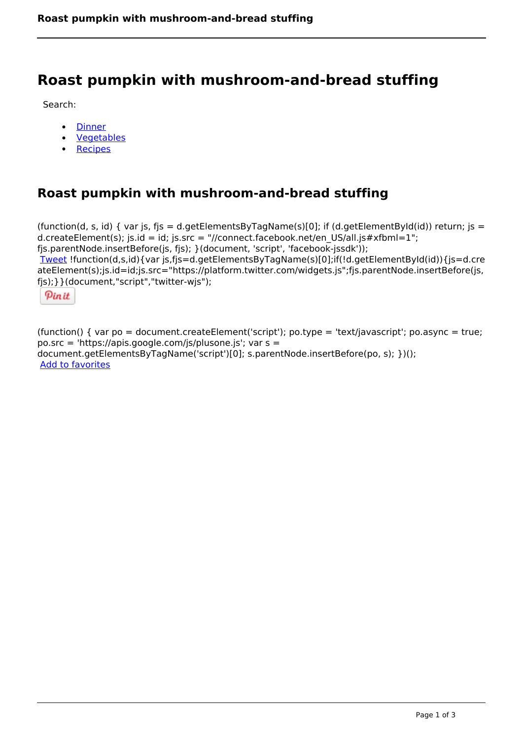## **Roast pumpkin with mushroom-and-bread stuffing**

Search:

- **[Dinner](https://www.naturalhealthmag.com.au/nourish/dinner-ideas)**  $\bullet$
- [Vegetables](https://www.naturalhealthmag.com.au/nourish/veg)  $\bullet$
- **[Recipes](https://www.naturalhealthmag.com.au/nourish/recipes)**

## **Roast pumpkin with mushroom-and-bread stuffing**

```
(function(d, s, id) { var js, fjs = d.getElementsByTagName(s)[0]; if (d.getElementById(id)) return; is =
d.createElement(s); js.id = id; js.src = "//connect.facebook.net/en_US/all.js#xfbml=1";
fjs.parentNode.insertBefore(js, fjs); }(document, 'script', 'facebook-jssdk')); 
Tweet !function(d,s,id){var js,fjs=d.getElementsByTagName(s)[0];if(!d.getElementById(id)){js=d.cre
ateElement(s);js.id=id;js.src="https://platform.twitter.com/widgets.js";fjs.parentNode.insertBefore(js,
fjs);}}(document,"script","twitter-wjs"); 
 Pin it
```
(function() { var po = document.createElement('script'); po.type = 'text/javascript'; po.async = true; po.src = 'https://apis.google.com/js/plusone.js'; var s = document.getElementsByTagName('script')[0]; s.parentNode.insertBefore(po, s); })(); Add to favorites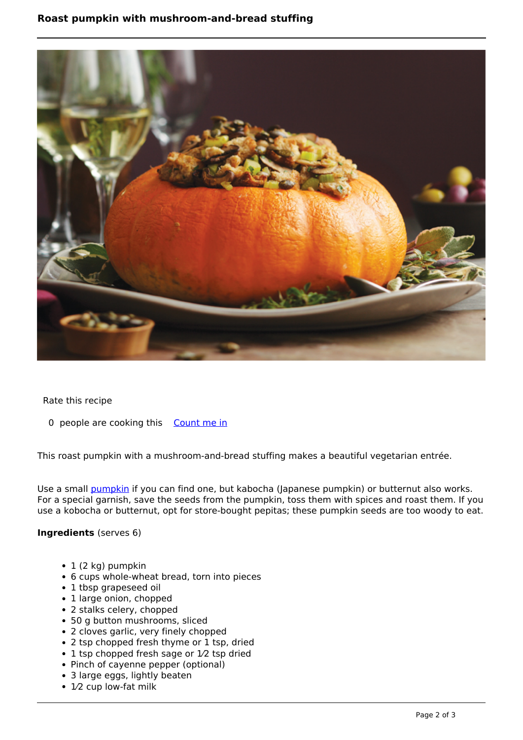

Rate this recipe

0 people are cooking this [Count me in](https://www.naturalhealthmag.com.au/flag/flag/favorites/794?destination=printpdf%2F794&token=db8ba737529696ece5c1a9a340c33158)

This roast pumpkin with a mushroom-and-bread stuffing makes a beautiful vegetarian entrée.

Use a small **[pumpkin](http://www.naturalhealthmag.com.au/nourish/pumpkin-pear-soup-crumbled-stilton)** if you can find one, but kabocha (Japanese pumpkin) or butternut also works. For a special garnish, save the seeds from the pumpkin, toss them with spices and roast them. If you use a kobocha or butternut, opt for store-bought pepitas; these pumpkin seeds are too woody to eat.

## **Ingredients** (serves 6)

- $\cdot$  1 (2 kg) pumpkin
- 6 cups whole-wheat bread, torn into pieces
- 1 tbsp grapeseed oil
- 1 large onion, chopped
- 2 stalks celery, chopped
- 50 g button mushrooms, sliced
- 2 cloves garlic, very finely chopped
- 2 tsp chopped fresh thyme or 1 tsp, dried
- 1 tsp chopped fresh sage or 1/2 tsp dried
- Pinch of cayenne pepper (optional)
- 3 large eggs, lightly beaten
- 1⁄2 cup low-fat milk